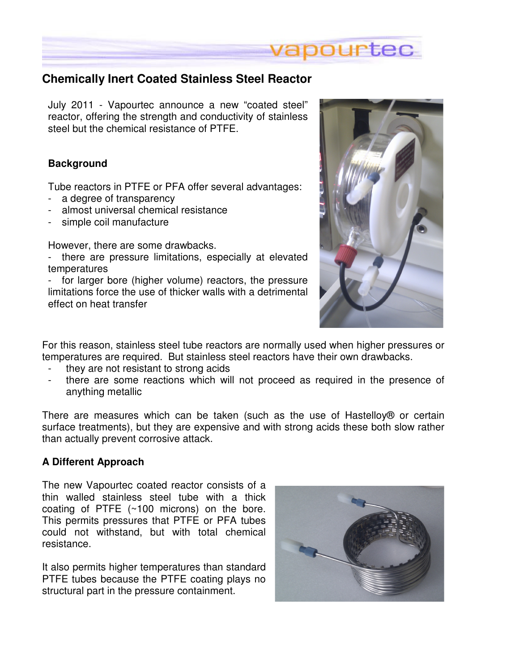

## **Chemically Inert Coated Stainless Steel Reactor**

July 2011 - Vapourtec announce a new "coated steel" reactor, offering the strength and conductivity of stainless steel but the chemical resistance of PTFE.

## **Background**

Tube reactors in PTFE or PFA offer several advantages:

- a degree of transparency
- almost universal chemical resistance
- simple coil manufacture

However, there are some drawbacks.

- there are pressure limitations, especially at elevated temperatures

- for larger bore (higher volume) reactors, the pressure limitations force the use of thicker walls with a detrimental effect on heat transfer



For this reason, stainless steel tube reactors are normally used when higher pressures or temperatures are required. But stainless steel reactors have their own drawbacks.

- they are not resistant to strong acids
- there are some reactions which will not proceed as required in the presence of anything metallic

There are measures which can be taken (such as the use of Hastelloy® or certain surface treatments), but they are expensive and with strong acids these both slow rather than actually prevent corrosive attack.

## **A Different Approach**

The new Vapourtec coated reactor consists of a thin walled stainless steel tube with a thick coating of PTFE (~100 microns) on the bore. This permits pressures that PTFE or PFA tubes could not withstand, but with total chemical resistance.

It also permits higher temperatures than standard PTFE tubes because the PTFE coating plays no structural part in the pressure containment.